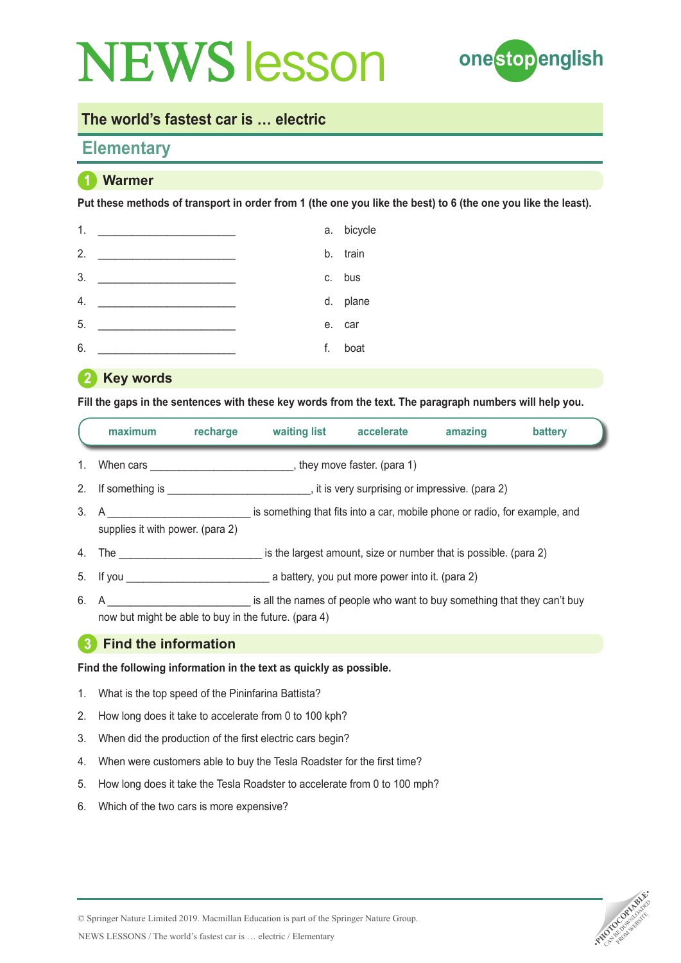

### **The world's fastest car is … electric**

## **Elementary**

## **1 Warmer**

**Put these methods of transport in order from 1 (the one you like the best) to 6 (the one you like the least).**

| 1. |    | a. bicycle |
|----|----|------------|
| 2. |    | b. train   |
| 3. |    | c. bus     |
| 4. |    | d. plane   |
| 5. |    | e. car     |
| 6. | f. | boat       |

**2 Key words** 

**Fill the gaps in the sentences with these key words from the text. The paragraph numbers will help you.**

|    | maximum                                              | recharge | waiting list                                                                                       | accelerate | amazing | battery |
|----|------------------------------------------------------|----------|----------------------------------------------------------------------------------------------------|------------|---------|---------|
|    |                                                      |          |                                                                                                    |            |         |         |
|    |                                                      |          |                                                                                                    |            |         |         |
|    | supplies it with power. (para 2)                     |          | 3. A Same School is something that fits into a car, mobile phone or radio, for example, and        |            |         |         |
|    |                                                      |          | 4. The the same is the largest amount, size or number that is possible. (para 2)                   |            |         |         |
|    |                                                      |          |                                                                                                    |            |         |         |
| 6. | now but might be able to buy in the future. (para 4) |          | A A Setting that the same is all the names of people who want to buy something that they can't buy |            |         |         |
| -3 | <b>Find the information</b>                          |          |                                                                                                    |            |         |         |

**Find the following information in the text as quickly as possible.** 

- 1. What is the top speed of the Pininfarina Battista?
- 2. How long does it take to accelerate from 0 to 100 kph?
- 3. When did the production of the first electric cars begin?
- 4. When were customers able to buy the Tesla Roadster for the first time?
- 5. How long does it take the Tesla Roadster to accelerate from 0 to 100 mph?
- 6. Which of the two cars is more expensive?



NEWS LESSONS / The world's fastest car is … electric / Elementary © Springer Nature Limited 2019. Macmillan Education is part of the Springer Nature Group.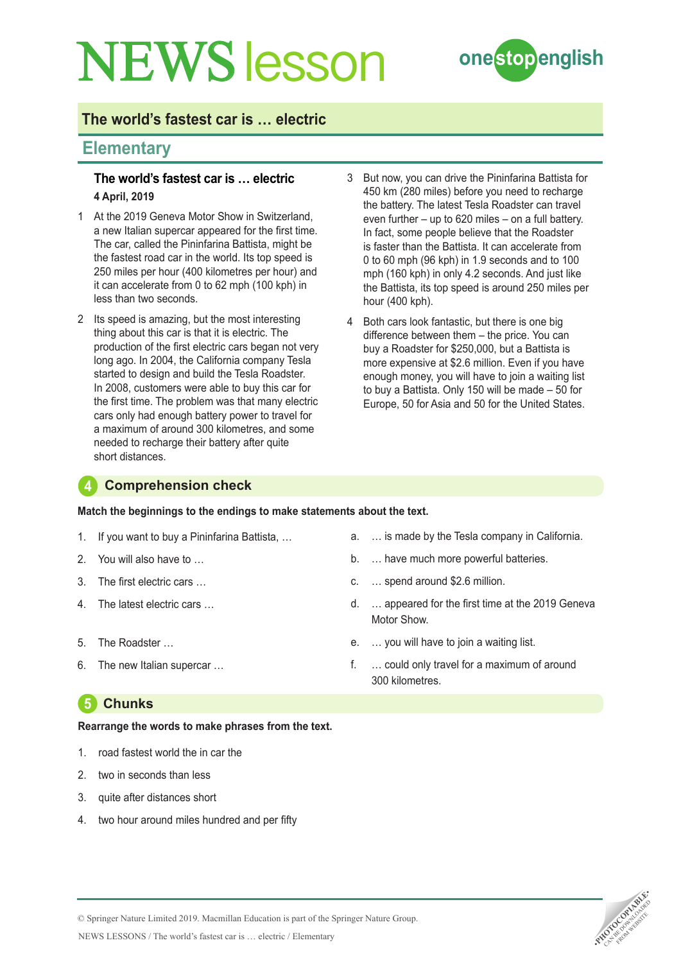

## **The world's fastest car is … electric**

## **Elementary**

#### **The world's fastest car is … electric 4 April, 2019**

- 1 At the 2019 Geneva Motor Show in Switzerland, a new Italian supercar appeared for the first time. The car, called the Pininfarina Battista, might be the fastest road car in the world. Its top speed is 250 miles per hour (400 kilometres per hour) and it can accelerate from 0 to 62 mph (100 kph) in less than two seconds.
- 2 Its speed is amazing, but the most interesting thing about this car is that it is electric. The production of the first electric cars began not very long ago. In 2004, the California company Tesla started to design and build the Tesla Roadster. In 2008, customers were able to buy this car for the first time. The problem was that many electric cars only had enough battery power to travel for a maximum of around 300 kilometres, and some needed to recharge their battery after quite short distances.
- 3 But now, you can drive the Pininfarina Battista for 450 km (280 miles) before you need to recharge the battery. The latest Tesla Roadster can travel even further – up to 620 miles – on a full battery. In fact, some people believe that the Roadster is faster than the Battista. It can accelerate from 0 to 60 mph (96 kph) in 1.9 seconds and to 100 mph (160 kph) in only 4.2 seconds. And just like the Battista, its top speed is around 250 miles per hour (400 kph).
- 4 Both cars look fantastic, but there is one big difference between them – the price. You can buy a Roadster for \$250,000, but a Battista is more expensive at \$2.6 million. Even if you have enough money, you will have to join a waiting list to buy a Battista. Only 150 will be made – 50 for Europe, 50 for Asia and 50 for the United States.

#### **4 Comprehension check**

**Match the beginnings to the endings to make statements about the text.**

- 1. If you want to buy a Pininfarina Battista, …
- 2. You will also have to
- 3. The first electric cars …
- 4. The latest electric cars …
- 5. The Roadster …
- 6. The new Italian supercar …

## **5 Chunks**

#### **Rearrange the words to make phrases from the text.**

- 1. road fastest world the in car the
- 2. two in seconds than less
- 3. quite after distances short
- two hour around miles hundred and per fifty
- a. … is made by the Tesla company in California.
- b. … have much more powerful batteries.
- c. … spend around \$2.6 million.
- d. … appeared for the first time at the 2019 Geneva Motor Show.
- e. … you will have to join a waiting list.
- f. … could only travel for a maximum of around 300 kilometres.



© Springer Nature Limited 2019. Macmillan Education is part of the Springer Nature Group.

NEWS LESSONS / The world's fastest car is … electric / Elementary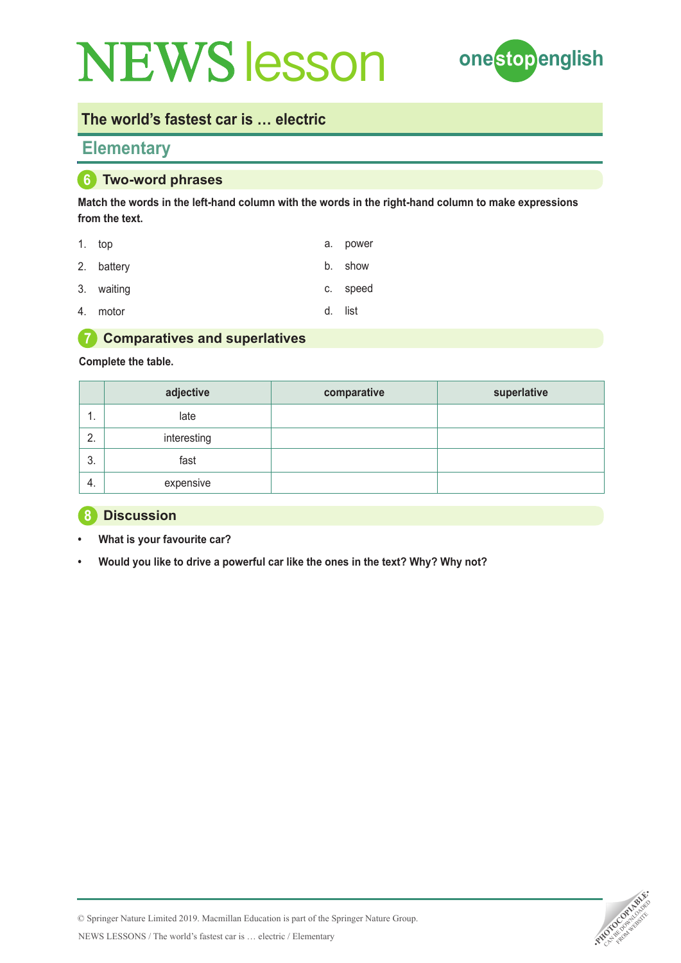

### **The world's fastest car is … electric**

## **Elementary**

#### **6 Two-word phrases**

**Match the words in the left-hand column with the words in the right-hand column to make expressions from the text.**

| 1. top     | a. power |
|------------|----------|
| 2. battery | b. show  |
| 3. waiting | c. speed |

4. motor

d. list

#### **7 Comparatives and superlatives**

#### **Complete the table.**

|               | adjective   | comparative | superlative |
|---------------|-------------|-------------|-------------|
| . .           | late        |             |             |
| っ<br><u>.</u> | interesting |             |             |
| 3.            | fast        |             |             |
| -4.           | expensive   |             |             |

#### **8 Discussion**

- **• What is your favourite car?**
- **• Would you like to drive a powerful car like the ones in the text? Why? Why not?**